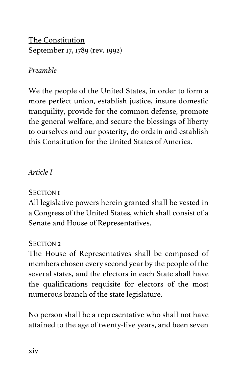The Constitution September 17, 1789 (rev. 1992)

# *Preamble*

We the people of the United States, in order to form a more perfect union, establish justice, insure domestic tranquility, provide for the common defense, promote the general welfare, and secure the blessings of liberty to ourselves and our posterity, do ordain and establish this Constitution for the United States of America.

# *Article I*

# SECTION 1

All legislative powers herein granted shall be vested in a Congress of the United States, which shall consist of a Senate and House of Representatives.

# SECTION<sub>2</sub>

The House of Representatives shall be composed of members chosen every second year by the people of the several states, and the electors in each State shall have the qualifications requisite for electors of the most numerous branch of the state legislature.

No person shall be a representative who shall not have attained to the age of twenty-five years, and been seven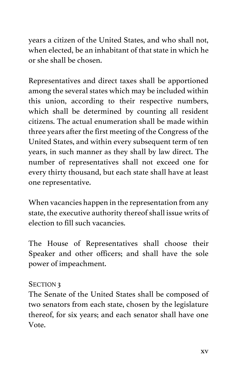years a citizen of the United States, and who shall not, when elected, be an inhabitant of that state in which he or she shall be chosen.

Representatives and direct taxes shall be apportioned among the several states which may be included within this union, according to their respective numbers, which shall be determined by counting all resident citizens. The actual enumeration shall be made within three years after the first meeting of the Congress of the United States, and within every subsequent term of ten years, in such manner as they shall by law direct. The number of representatives shall not exceed one for every thirty thousand, but each state shall have at least one representative.

When vacancies happen in the representation from any state, the executive authority thereof shall issue writs of election to fill such vacancies.

The House of Representatives shall choose their Speaker and other officers; and shall have the sole power of impeachment.

#### SECTION<sub>3</sub>

The Senate of the United States shall be composed of two senators from each state, chosen by the legislature thereof, for six years; and each senator shall have one Vote.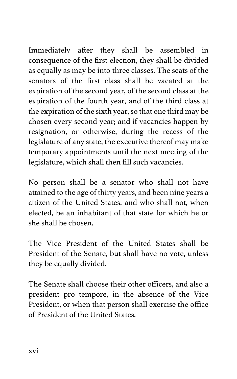Immediately after they shall be assembled in consequence of the first election, they shall be divided as equally as may be into three classes. The seats of the senators of the first class shall be vacated at the expiration of the second year, of the second class at the expiration of the fourth year, and of the third class at the expiration of the sixth year, so that one third may be chosen every second year; and if vacancies happen by resignation, or otherwise, during the recess of the legislature of any state, the executive thereof may make temporary appointments until the next meeting of the legislature, which shall then fill such vacancies.

No person shall be a senator who shall not have attained to the age of thirty years, and been nine years a citizen of the United States, and who shall not, when elected, be an inhabitant of that state for which he or she shall be chosen.

The Vice President of the United States shall be President of the Senate, but shall have no vote, unless they be equally divided.

The Senate shall choose their other officers, and also a president pro tempore, in the absence of the Vice President, or when that person shall exercise the office of President of the United States.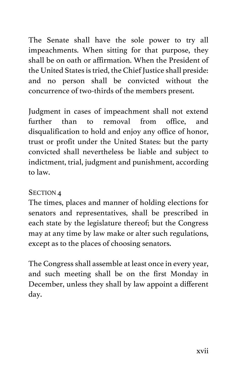The Senate shall have the sole power to try all impeachments. When sitting for that purpose, they shall be on oath or affirmation. When the President of the United States is tried, the Chief Justice shall preside: and no person shall be convicted without the concurrence of two-thirds of the members present.

Judgment in cases of impeachment shall not extend further than to removal from office, and disqualification to hold and enjoy any office of honor, trust or profit under the United States: but the party convicted shall nevertheless be liable and subject to indictment, trial, judgment and punishment, according to law.

#### SECTION<sub>1</sub>

The times, places and manner of holding elections for senators and representatives, shall be prescribed in each state by the legislature thereof; but the Congress may at any time by law make or alter such regulations, except as to the places of choosing senators.

The Congress shall assemble at least once in every year, and such meeting shall be on the first Monday in December, unless they shall by law appoint a different day.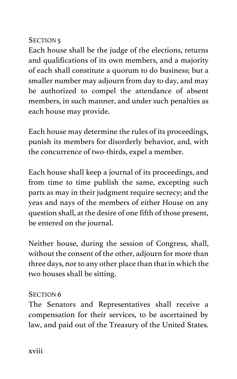# SECTION<sub>5</sub>

Each house shall be the judge of the elections, returns and qualifications of its own members, and a majority of each shall constitute a quorum to do business; but a smaller number may adjourn from day to day, and may be authorized to compel the attendance of absent members, in such manner, and under such penalties as each house may provide.

Each house may determine the rules of its proceedings, punish its members for disorderly behavior, and, with the concurrence of two-thirds, expel a member.

Each house shall keep a journal of its proceedings, and from time to time publish the same, excepting such parts as may in their judgment require secrecy; and the yeas and nays of the members of either House on any question shall, at the desire of one fifth of those present, be entered on the journal.

Neither house, during the session of Congress, shall, without the consent of the other, adjourn for more than three days, nor to any other place than that in which the two houses shall be sitting.

# SECTION<sub>6</sub>

The Senators and Representatives shall receive a compensation for their services, to be ascertained by law, and paid out of the Treasury of the United States.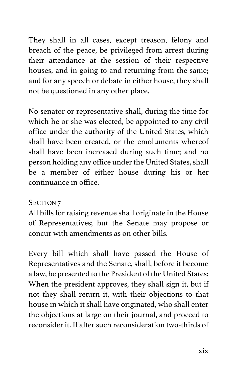They shall in all cases, except treason, felony and breach of the peace, be privileged from arrest during their attendance at the session of their respective houses, and in going to and returning from the same; and for any speech or debate in either house, they shall not be questioned in any other place.

No senator or representative shall, during the time for which he or she was elected, be appointed to any civil office under the authority of the United States, which shall have been created, or the emoluments whereof shall have been increased during such time; and no person holding any office under the United States, shall be a member of either house during his or her continuance in office.

# SECTION 7

All bills for raising revenue shall originate in the House of Representatives; but the Senate may propose or concur with amendments as on other bills.

Every bill which shall have passed the House of Representatives and the Senate, shall, before it become a law, be presented to the President of the United States: When the president approves, they shall sign it, but if not they shall return it, with their objections to that house in which it shall have originated, who shall enter the objections at large on their journal, and proceed to reconsider it. If after such reconsideration two-thirds of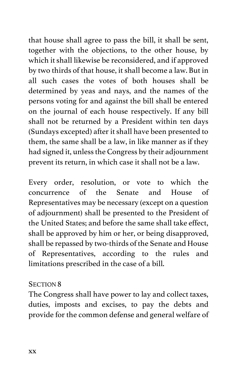that house shall agree to pass the bill, it shall be sent, together with the objections, to the other house, by which it shall likewise be reconsidered, and if approved by two thirds of that house, it shall become a law. But in all such cases the votes of both houses shall be determined by yeas and nays, and the names of the persons voting for and against the bill shall be entered on the journal of each house respectively. If any bill shall not be returned by a President within ten days (Sundays excepted) after it shall have been presented to them, the same shall be a law, in like manner as if they had signed it, unless the Congress by their adjournment prevent its return, in which case it shall not be a law.

Every order, resolution, or vote to which the concurrence of the Senate and House of Representatives may be necessary (except on a question of adjournment) shall be presented to the President of the United States; and before the same shall take effect, shall be approved by him or her, or being disapproved, shall be repassed by two-thirds of the Senate and House of Representatives, according to the rules and limitations prescribed in the case of a bill.

#### SECTION 8

The Congress shall have power to lay and collect taxes, duties, imposts and excises, to pay the debts and provide for the common defense and general welfare of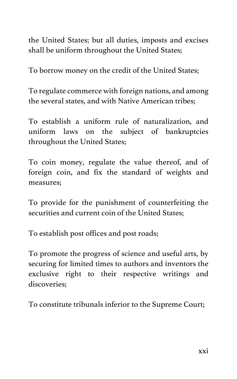the United States; but all duties, imposts and excises shall be uniform throughout the United States;

To borrow money on the credit of the United States;

To regulate commerce with foreign nations, and among the several states, and with Native American tribes;

To establish a uniform rule of naturalization, and uniform laws on the subject of bankruptcies throughout the United States;

To coin money, regulate the value thereof, and of foreign coin, and fix the standard of weights and measures;

To provide for the punishment of counterfeiting the securities and current coin of the United States:

To establish post offices and post roads;

To promote the progress of science and useful arts, by securing for limited times to authors and inventors the exclusive right to their respective writings and discoveries;

To constitute tribunals inferior to the Supreme Court;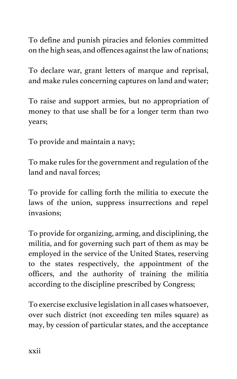To define and punish piracies and felonies committed on the high seas, and offences against the law of nations;

To declare war, grant letters of marque and reprisal, and make rules concerning captures on land and water;

To raise and support armies, but no appropriation of money to that use shall be for a longer term than two years;

To provide and maintain a navy;

To make rules for the government and regulation of the land and naval forces;

To provide for calling forth the militia to execute the laws of the union, suppress insurrections and repel invasions;

To provide for organizing, arming, and disciplining, the militia, and for governing such part of them as may be employed in the service of the United States, reserving to the states respectively, the appointment of the officers, and the authority of training the militia according to the discipline prescribed by Congress;

To exercise exclusive legislation in all cases whatsoever, over such district (not exceeding ten miles square) as may, by cession of particular states, and the acceptance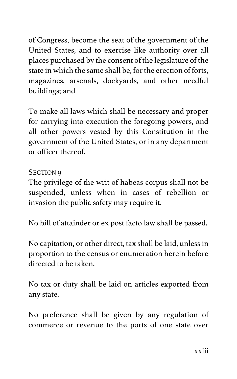of Congress, become the seat of the government of the United States, and to exercise like authority over all places purchased by the consent of the legislature of the state in which the same shall be, for the erection of forts, magazines, arsenals, dockyards, and other needful buildings; and

To make all laws which shall be necessary and proper for carrying into execution the foregoing powers, and all other powers vested by this Constitution in the government of the United States, or in any department or officer thereof.

# SECTION 9

The privilege of the writ of habeas corpus shall not be suspended, unless when in cases of rebellion or invasion the public safety may require it.

No bill of attainder or ex post facto law shall be passed.

No capitation, or other direct, tax shall be laid, unless in proportion to the census or enumeration herein before directed to be taken.

No tax or duty shall be laid on articles exported from any state.

No preference shall be given by any regulation of commerce or revenue to the ports of one state over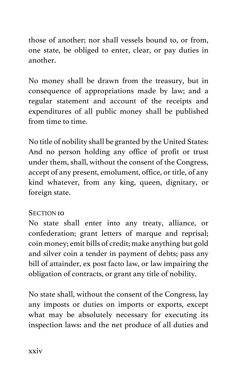those of another; nor shall vessels bound to, or from, one state, be obliged to enter, clear, or pay duties in another.

No money shall be drawn from the treasury, but in consequence of appropriations made by law; and a regular statement and account of the receipts and expenditures of all public money shall be published from time to time.

No title of nobility shall be granted by the United States: And no person holding any office of profit or trust under them, shall, without the consent of the Congress, accept of any present, emolument, office, or title, of any kind whatever, from any king, queen, dignitary, or foreign state.

#### SECTION **10**

No state shall enter into any treaty, alliance, or confederation; grant letters of marque and reprisal; coin money; emit bills of credit; make anything but gold and silver coin a tender in payment of debts; pass any bill of attainder, ex post facto law, or law impairing the obligation of contracts, or grant any title of nobility.

No state shall, without the consent of the Congress, lay any imposts or duties on imports or exports, except what may be absolutely necessary for executing its inspection laws: and the net produce of all duties and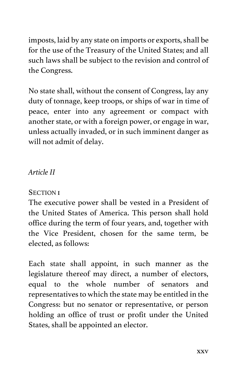imposts, laid by any state on imports or exports, shall be for the use of the Treasury of the United States; and all such laws shall be subject to the revision and control of the Congress.

No state shall, without the consent of Congress, lay any duty of tonnage, keep troops, or ships of war in time of peace, enter into any agreement or compact with another state, or with a foreign power, or engage in war, unless actually invaded, or in such imminent danger as will not admit of delay.

# *Article II*

#### SECTION 1

The executive power shall be vested in a President of the United States of America. This person shall hold office during the term of four years, and, together with the Vice President, chosen for the same term, be elected, as follows:

Each state shall appoint, in such manner as the legislature thereof may direct, a number of electors, equal to the whole number of senators and representatives to which the state may be entitled in the Congress: but no senator or representative, or person holding an office of trust or profit under the United States, shall be appointed an elector.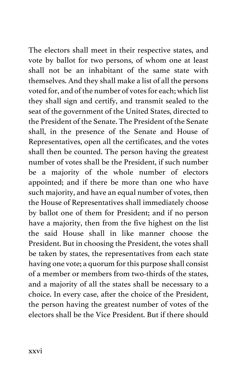The electors shall meet in their respective states, and vote by ballot for two persons, of whom one at least shall not be an inhabitant of the same state with themselves. And they shall make a list of all the persons voted for, and of the number of votes for each; which list they shall sign and certify, and transmit sealed to the seat of the government of the United States, directed to the President of the Senate. The President of the Senate shall, in the presence of the Senate and House of Representatives, open all the certificates, and the votes shall then be counted. The person having the greatest number of votes shall be the President, if such number be a majority of the whole number of electors appointed; and if there be more than one who have such majority, and have an equal number of votes, then the House of Representatives shall immediately choose by ballot one of them for President; and if no person have a majority, then from the five highest on the list the said House shall in like manner choose the President. But in choosing the President, the votes shall be taken by states, the representatives from each state having one vote; a quorum for this purpose shall consist of a member or members from two-thirds of the states, and a majority of all the states shall be necessary to a choice. In every case, after the choice of the President, the person having the greatest number of votes of the electors shall be the Vice President. But if there should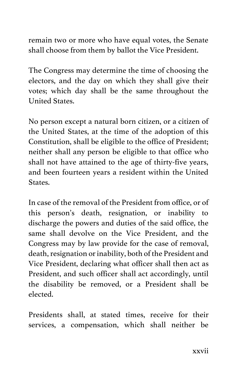remain two or more who have equal votes, the Senate shall choose from them by ballot the Vice President.

The Congress may determine the time of choosing the electors, and the day on which they shall give their votes; which day shall be the same throughout the United States.

No person except a natural born citizen, or a citizen of the United States, at the time of the adoption of this Constitution, shall be eligible to the office of President; neither shall any person be eligible to that office who shall not have attained to the age of thirty-five years, and been fourteen years a resident within the United States.

In case of the removal of the President from office, or of this person's death, resignation, or inability to discharge the powers and duties of the said office, the same shall devolve on the Vice President, and the Congress may by law provide for the case of removal, death, resignation or inability, both of the President and Vice President, declaring what officer shall then act as President, and such officer shall act accordingly, until the disability be removed, or a President shall be elected.

Presidents shall, at stated times, receive for their services, a compensation, which shall neither be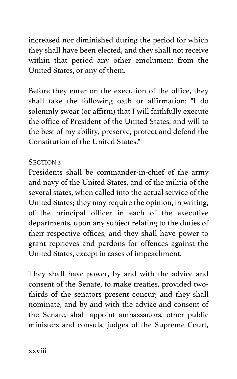increased nor diminished during the period for which they shall have been elected, and they shall not receive within that period any other emolument from the United States, or any of them.

Before they enter on the execution of the office, they shall take the following oath or affirmation: "I do solemnly swear (or affirm) that I will faithfully execute the office of President of the United States, and will to the best of my ability, preserve, protect and defend the Constitution of the United States."

### SECTION<sub>2</sub>

Presidents shall be commander-in-chief of the army and navy of the United States, and of the militia of the several states, when called into the actual service of the United States; they may require the opinion, in writing, of the principal officer in each of the executive departments, upon any subject relating to the duties of their respective offices, and they shall have power to grant reprieves and pardons for offences against the United States, except in cases of impeachment.

They shall have power, by and with the advice and consent of the Senate, to make treaties, provided twothirds of the senators present concur; and they shall nominate, and by and with the advice and consent of the Senate, shall appoint ambassadors, other public ministers and consuls, judges of the Supreme Court,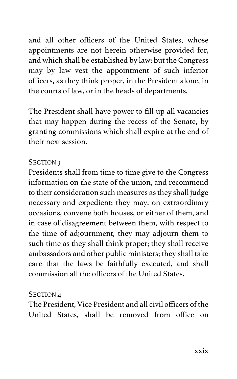and all other officers of the United States, whose appointments are not herein otherwise provided for, and which shall be established by law: but the Congress may by law vest the appointment of such inferior officers, as they think proper, in the President alone, in the courts of law, or in the heads of departments.

The President shall have power to fill up all vacancies that may happen during the recess of the Senate, by granting commissions which shall expire at the end of their next session.

### SECTION 3

Presidents shall from time to time give to the Congress information on the state of the union, and recommend to their consideration such measures as they shall judge necessary and expedient; they may, on extraordinary occasions, convene both houses, or either of them, and in case of disagreement between them, with respect to the time of adjournment, they may adjourn them to such time as they shall think proper; they shall receive ambassadors and other public ministers; they shall take care that the laws be faithfully executed, and shall commission all the officers of the United States.

#### SECTION 4

The President, Vice President and all civil officers of the United States, shall be removed from office on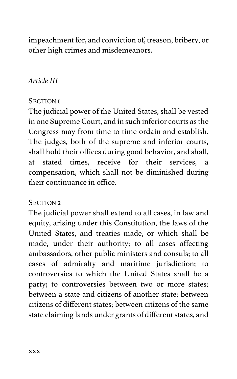impeachment for, and conviction of, treason, bribery, or other high crimes and misdemeanors.

# *Article III*

### **SECTION I**

The judicial power of the United States, shall be vested in one Supreme Court, and in such inferior courts as the Congress may from time to time ordain and establish. The judges, both of the supreme and inferior courts, shall hold their offices during good behavior, and shall, at stated times, receive for their services, a compensation, which shall not be diminished during their continuance in office.

#### SECTION 2

The judicial power shall extend to all cases, in law and equity, arising under this Constitution, the laws of the United States, and treaties made, or which shall be made, under their authority; to all cases affecting ambassadors, other public ministers and consuls; to all cases of admiralty and maritime jurisdiction; to controversies to which the United States shall be a party; to controversies between two or more states; between a state and citizens of another state; between citizens of different states; between citizens of the same state claiming lands under grants of different states, and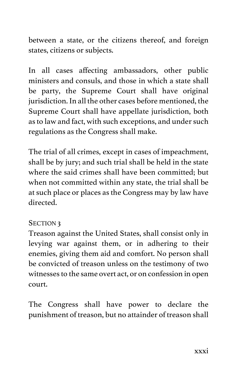between a state, or the citizens thereof, and foreign states, citizens or subjects.

In all cases affecting ambassadors, other public ministers and consuls, and those in which a state shall be party, the Supreme Court shall have original jurisdiction. In all the other cases before mentioned, the Supreme Court shall have appellate jurisdiction, both as to law and fact, with such exceptions, and under such regulations as the Congress shall make.

The trial of all crimes, except in cases of impeachment, shall be by jury; and such trial shall be held in the state where the said crimes shall have been committed; but when not committed within any state, the trial shall be at such place or places as the Congress may by law have directed.

# SECTION 3

Treason against the United States, shall consist only in levying war against them, or in adhering to their enemies, giving them aid and comfort. No person shall be convicted of treason unless on the testimony of two witnesses to the same overt act, or on confession in open court.

The Congress shall have power to declare the punishment of treason, but no attainder of treason shall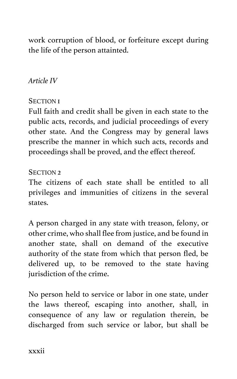work corruption of blood, or forfeiture except during the life of the person attainted.

# *Article IV*

#### SECTION 1

Full faith and credit shall be given in each state to the public acts, records, and judicial proceedings of every other state. And the Congress may by general laws prescribe the manner in which such acts, records and proceedings shall be proved, and the effect thereof.

### SECTION<sub>2</sub>

The citizens of each state shall be entitled to all privileges and immunities of citizens in the several states.

A person charged in any state with treason, felony, or other crime, who shall flee from justice, and be found in another state, shall on demand of the executive authority of the state from which that person fled, be delivered up, to be removed to the state having jurisdiction of the crime.

No person held to service or labor in one state, under the laws thereof, escaping into another, shall, in consequence of any law or regulation therein, be discharged from such service or labor, but shall be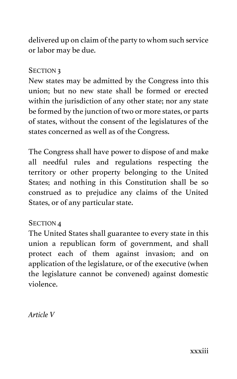delivered up on claim of the party to whom such service or labor may be due.

#### SECTION<sub>3</sub>

New states may be admitted by the Congress into this union; but no new state shall be formed or erected within the jurisdiction of any other state; nor any state be formed by the junction of two or more states, or parts of states, without the consent of the legislatures of the states concerned as well as of the Congress.

The Congress shall have power to dispose of and make all needful rules and regulations respecting the territory or other property belonging to the United States; and nothing in this Constitution shall be so construed as to prejudice any claims of the United States, or of any particular state.

# SECTION<sub>1</sub>

The United States shall guarantee to every state in this union a republican form of government, and shall protect each of them against invasion; and on application of the legislature, or of the executive (when the legislature cannot be convened) against domestic violence.

*Article V*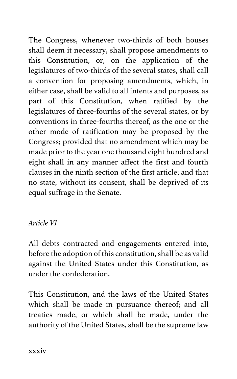The Congress, whenever two-thirds of both houses shall deem it necessary, shall propose amendments to this Constitution, or, on the application of the legislatures of two-thirds of the several states, shall call a convention for proposing amendments, which, in either case, shall be valid to all intents and purposes, as part of this Constitution, when ratified by the legislatures of three-fourths of the several states, or by conventions in three-fourths thereof, as the one or the other mode of ratification may be proposed by the Congress; provided that no amendment which may be made prior to the year one thousand eight hundred and eight shall in any manner affect the first and fourth clauses in the ninth section of the first article; and that no state, without its consent, shall be deprived of its equal suffrage in the Senate.

# *Article VI*

All debts contracted and engagements entered into, before the adoption of this constitution, shall be as valid against the United States under this Constitution, as under the confederation.

This Constitution, and the laws of the United States which shall be made in pursuance thereof; and all treaties made, or which shall be made, under the authority of the United States, shall be the supreme law